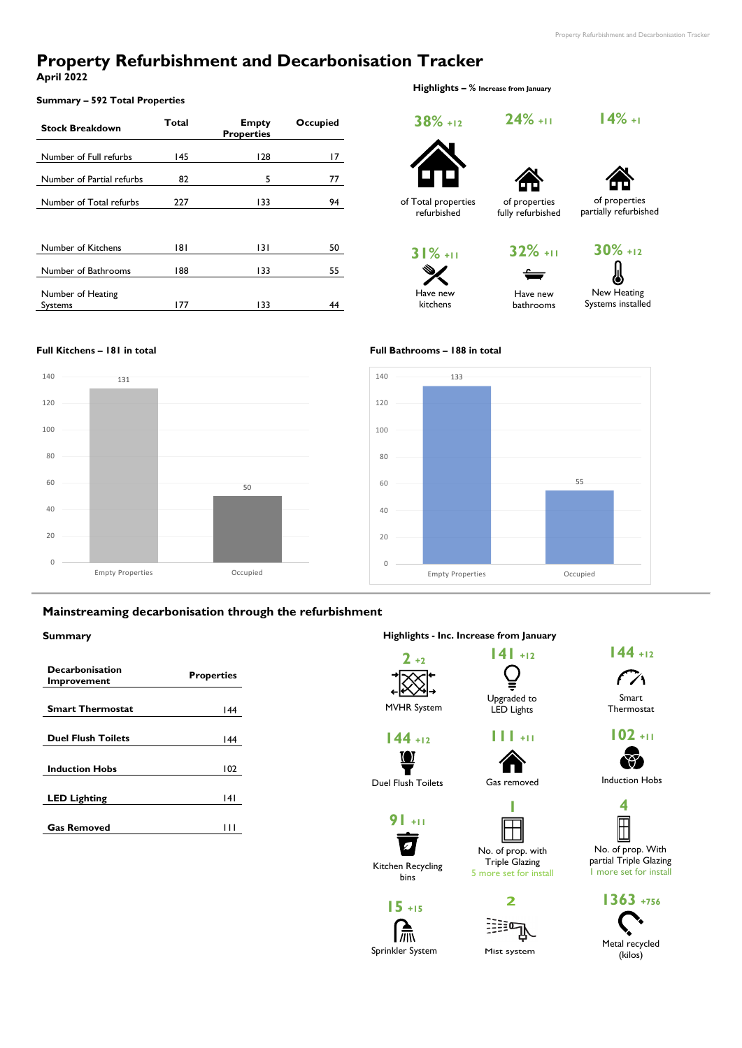**2 +2**

MVHR System

# **Property Refurbishment and Decarbonisation Tracker**

**April 2022**

### **Summary – 592 Total Properties**



| <b>Stock Breakdown</b>              | Total | <b>Empty</b><br><b>Properties</b> | <b>Occupied</b> |
|-------------------------------------|-------|-----------------------------------|-----------------|
| Number of Full refurbs              | 145   | 128                               | 17              |
| Number of Partial refurbs           | 82    | 5                                 | 77              |
| Number of Total refurbs             | 227   | 133                               | 94              |
|                                     |       |                                   |                 |
| Number of Kitchens                  | 8     | 3                                 | 50              |
| Number of Bathrooms                 | 188   | 133                               | 55              |
| Number of Heating<br><b>Systems</b> | 177   | 133                               |                 |

### **Full Kitchens – 181 in total Full Bathrooms – 188 in total**

### **Mainstreaming decarbonisation through the refurbishment**

## **Summary Highlights - Inc. Increase from January**

| <b>Decarbonisation</b><br>Improvement | <b>Properties</b> |  |  |
|---------------------------------------|-------------------|--|--|
| <b>Smart Thermostat</b>               | 44 ا              |  |  |
| <b>Duel Flush Toilets</b>             | 144               |  |  |
| <b>Induction Hobs</b>                 | מטו               |  |  |





**31% +11**

Have new kitchens

**32% +11**

Have new bathrooms

**24% +11**



fully refurbished

**30% +12**



New Heating Systems installed









Smart Thermostat

**144 +12**

| <b>LED Lighting</b> | 4 |                                               |                                                                      |                                                                     |
|---------------------|---|-----------------------------------------------|----------------------------------------------------------------------|---------------------------------------------------------------------|
| <b>Gas Removed</b>  | Ш | $91 + 11$<br><b>Kitchen Recycling</b><br>bins | No. of prop. with<br><b>Triple Glazing</b><br>5 more set for install | No. of prop. With<br>partial Triple Glazing<br>more set for install |
|                     |   | $15 + 15$<br>氚<br>Sprinkler System            | 2<br>Mist system                                                     | $1363 + 756$<br>Metal recycled<br>(kilos)                           |

Duel Flush Toilets

 $\mathbf{I}$ 



Gas removed



Induction Hobs

**14% +1**

| of properties         |
|-----------------------|
| partially refurbished |





of Total properties refurbished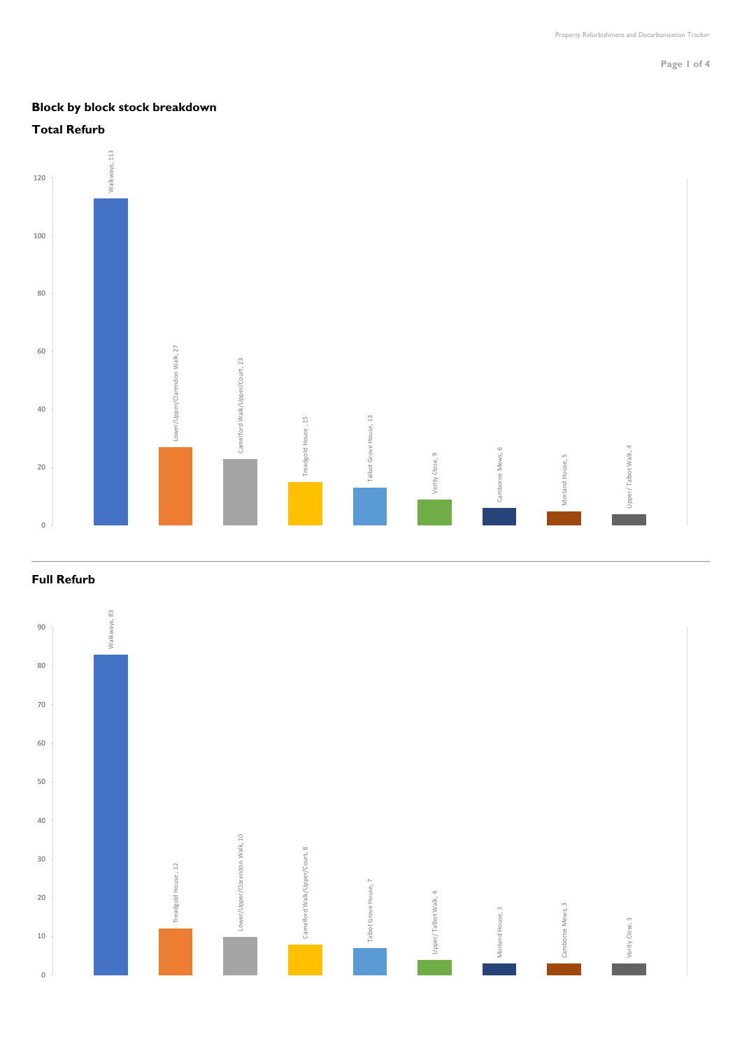# **Block by block stock breakdown**

# **Total Refurb**

# **Full Refurb**





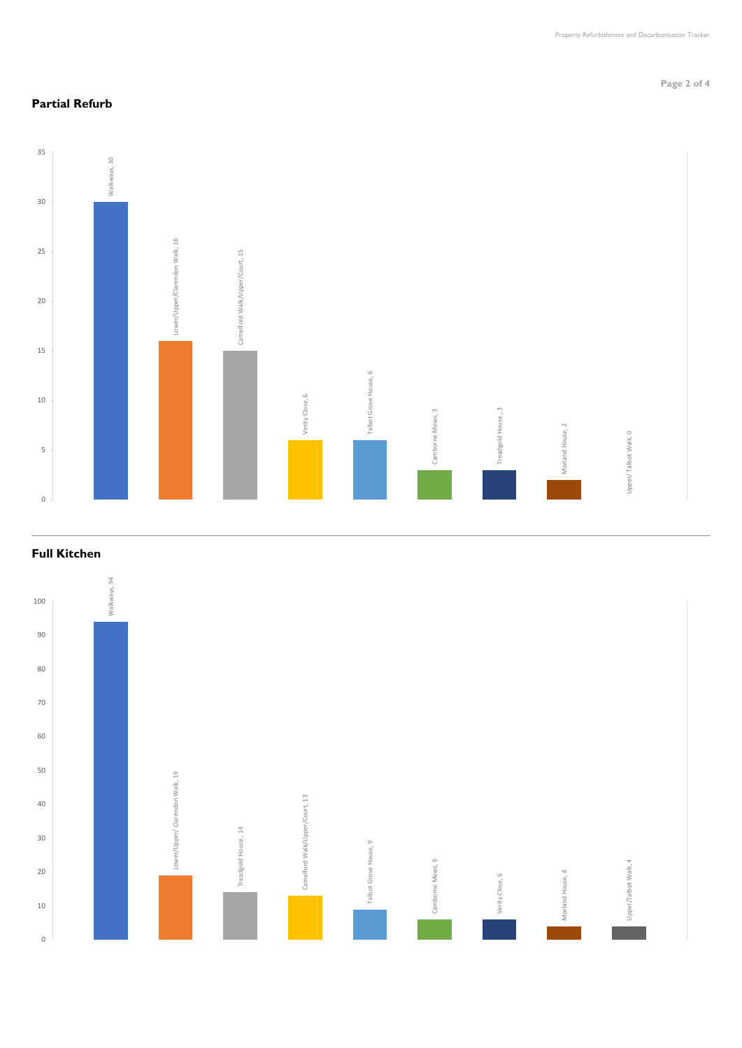**Page 2 of 4**







35

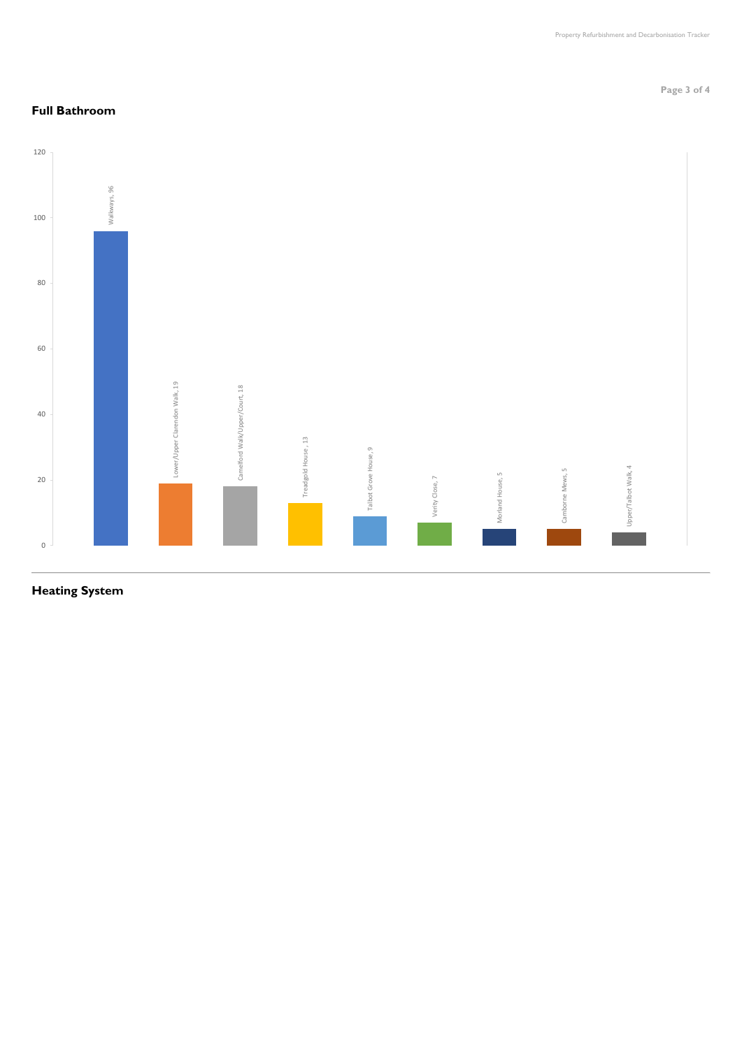**Page 3 of 4**

**Full Bathroom**

120**Heating System** 100 80 60 Lower/Upper Clarendon Walk, 19 Lower/Upper Clarendon Walk, 19 Camelford Walk/Upper/Court, 18 Camelford Walk/Upper/Court, 18 40 Treadgold House, 13 Treadgold House , 13 Talbot Grove House, 9 Talbot Grove House, 9 Upper/Talbot Walk, 4 Camborne Mews, 5 Upper/Talbot Walk, 4 Camborne Mews, 5 Morland House, 5 Verity Close, 7 Morland House, 5 20 0